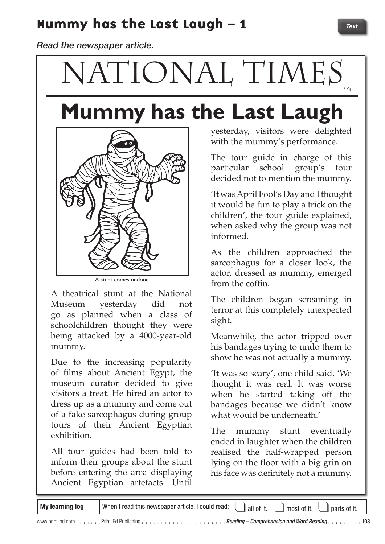### Mummy has the Last Laugh - 1

*Read the newspaper article.*

# NATIONAL TIMES

## **Mummy has the Last Laugh**



A stunt comes undone

A theatrical stunt at the National Museum yesterday did not go as planned when a class of schoolchildren thought they were being attacked by a 4000-year-old mummy.

Due to the increasing popularity of films about Ancient Egypt, the museum curator decided to give visitors a treat. He hired an actor to dress up as a mummy and come out of a fake sarcophagus during group tours of their Ancient Egyptian exhibition.

All tour guides had been told to inform their groups about the stunt before entering the area displaying Ancient Egyptian artefacts. Until

yesterday, visitors were delighted with the mummy's performance.

The tour guide in charge of this particular school group's tour decided not to mention the mummy.

'It was April Fool's Day and I thought it would be fun to play a trick on the children', the tour guide explained, when asked why the group was not informed.

As the children approached the sarcophagus for a closer look, the actor, dressed as mummy, emerged from the coffin.

The children began screaming in terror at this completely unexpected sight.

Meanwhile, the actor tripped over his bandages trying to undo them to show he was not actually a mummy.

'It was so scary', one child said. 'We thought it was real. It was worse when he started taking off the bandages because we didn't know what would be underneath.'

The mummy stunt eventually ended in laughter when the children realised the half-wrapped person lying on the floor with a big grin on his face was definitely not a mummy.

| My learning log | When I read this newspaper article, I could read: | all of it. | $\mathbf{I}$ most of it.<br>$\Box$ parts of it. |  |
|-----------------|---------------------------------------------------|------------|-------------------------------------------------|--|
|                 |                                                   |            |                                                 |  |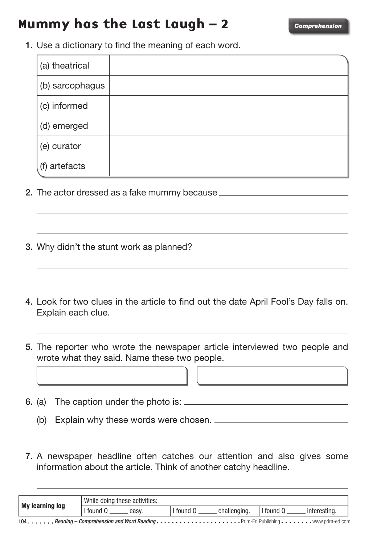#### Mummy has the Last Laugh – 2 *Comprehension*

1. Use a dictionary to find the meaning of each word.

| (a) theatrical  |  |
|-----------------|--|
| (b) sarcophagus |  |
| (c) informed    |  |
| (d) emerged     |  |
| (e) curator     |  |
| (f) artefacts   |  |

- 2. The actor dressed as a fake mummy because \_\_\_\_\_\_\_\_\_\_\_\_\_\_\_\_\_\_\_\_\_\_\_\_\_\_\_\_\_\_\_\_\_\_\_
- 3. Why didn't the stunt work as planned?
- 4. Look for two clues in the article to find out the date April Fool's Day falls on. Explain each clue.
- 5. The reporter who wrote the newspaper article interviewed two people and wrote what they said. Name these two people.
- 6. (a) The caption under the photo is:

I

(b) Explain why these words were chosen.

7. A newspaper headline often catches our attention and also gives some information about the article. Think of another catchy headline.

| My learning log | While doing these activities: |                       |                       |  |
|-----------------|-------------------------------|-----------------------|-----------------------|--|
|                 | I found<br>easy               | tound<br>challenging. | tound<br>interesting. |  |
|                 |                               |                       |                       |  |